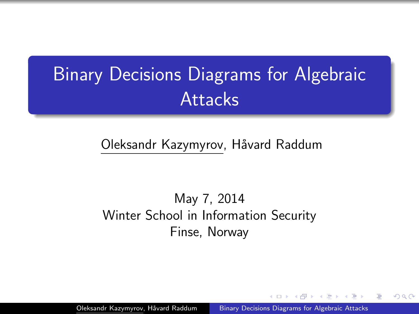# Binary Decisions Diagrams for Algebraic **Attacks**

### Oleksandr Kazymyrov, Håvard Raddum

### <span id="page-0-0"></span>May 7, 2014 Winter School in Information Security Finse, Norway

Oleksandr Kazymyrov, Håvard Raddum [Binary Decisions Diagrams for Algebraic Attacks](#page-10-0)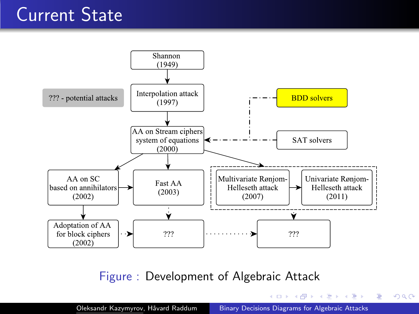# Current State



Figure : Development of Algebraic Attack

イロト イ押 トイヨ トイヨ トーヨ

 $299$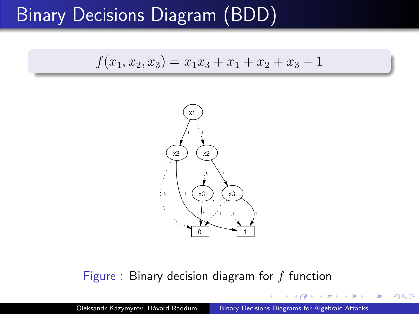# Binary Decisions Diagram (BDD)

$$
f(x_1, x_2, x_3) = x_1 x_3 + x_1 + x_2 + x_3 + 1
$$



#### Figure : Binary decision diagram for  $f$  function

Oleksandr Kazymyrov, Håvard Raddum [Binary Decisions Diagrams for Algebraic Attacks](#page-0-0)

<span id="page-2-0"></span> $2Q$ 

 $\equiv$   $\sim$ э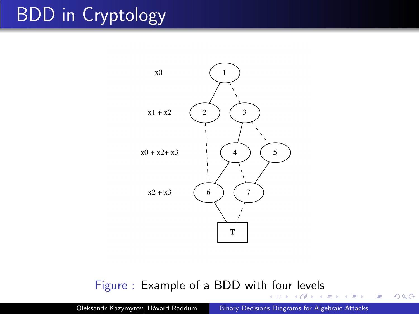# BDD in Cryptology



### Figure : Example of a BDD wit[h fo](#page-2-0)[ur](#page-4-0)[lev](#page-3-0)[e](#page-4-0)[ls](#page-0-0)

Oleksandr Kazymyrov, Håvard Raddum [Binary Decisions Diagrams for Algebraic Attacks](#page-0-0)

 $\Box$ 4 伊  $\sim$ → 重 ★ 目

in the Britain

<span id="page-3-0"></span> $299$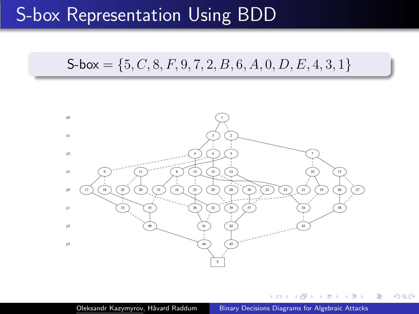## S-box Representation Using BDD

### $S-box = \{5, C, 8, F, 9, 7, 2, B, 6, A, 0, D, E, 4, 3, 1\}$



<span id="page-4-0"></span>つくへ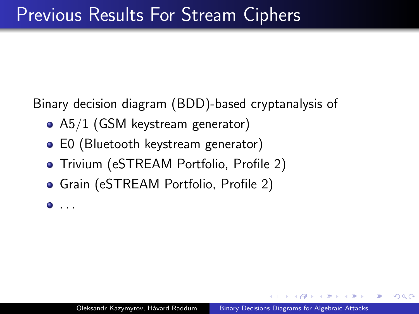Binary decision diagram (BDD)-based cryptanalysis of

- A5/1 (GSM keystream generator)
- E0 (Bluetooth keystream generator)
- **•** Trivium (eSTREAM Portfolio, Profile 2)
- Grain (eSTREAM Portfolio, Profile 2)

 $\bullet$  ...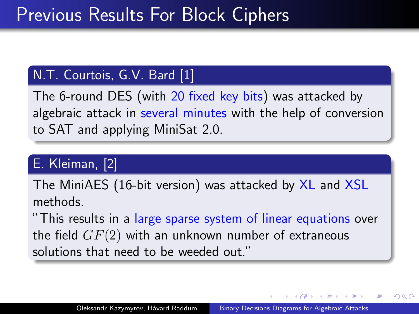### N.T. Courtois, G.V. Bard [1]

The 6-round DES (with 20 fixed key bits) was attacked by algebraic attack in several minutes with the help of conversion to SAT and applying MiniSat 2.0.

## E. Kleiman, [2]

The MiniAES (16-bit version) was attacked by XL and XSL methods.

"This results in a large sparse system of linear equations over the field  $GF(2)$  with an unknown number of extraneous solutions that need to be weeded out."

つくへ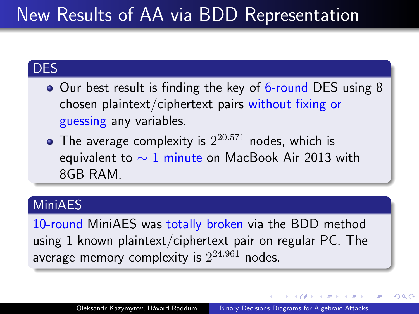# New Results of AA via BDD Representation

### DES

- Our best result is finding the key of 6-round DES using 8 chosen plaintext/ciphertext pairs without fixing or guessing any variables.
- The average complexity is  $2^{20.571}$  nodes, which is equivalent to  $\sim 1$  minute on MacBook Air 2013 with 8GB RAM.

### MiniAES

10-round MiniAES was totally broken via the BDD method using 1 known plaintext/ciphertext pair on regular PC. The average memory complexity is  $2^{24.961}$  nodes.

→ (母) → → ヨ) → → ヨ) →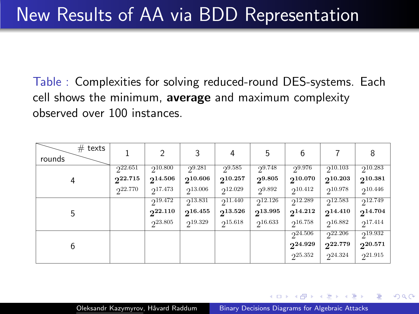Table : Complexities for solving reduced-round DES-systems. Each cell shows the minimum, average and maximum complexity observed over 100 instances.

| $#$ texts<br>rounds |                                    | 2                                       | 3                                           |                                    | 5                                       | 6                                  |                                         | 8                                  |
|---------------------|------------------------------------|-----------------------------------------|---------------------------------------------|------------------------------------|-----------------------------------------|------------------------------------|-----------------------------------------|------------------------------------|
| 4                   | 222.651<br>$2^{22.715}$<br>222.770 | 210.800<br>$2^{14.506}$<br>$2^{17.473}$ | $2^{9.281}$<br>$2^{10.606}$<br>$2^{13.006}$ | 29.585<br>210.257<br>$2^{12.029}$  | 29.748<br>$2^{9.805}$<br>29.892         | 29.976<br>210.070<br>$2^{10.412}$  | $2^{10.103}$<br>210.203<br>$2^{10.978}$ | 210.283<br>210.381<br>$2^{10.446}$ |
| 5                   |                                    | 219.472<br>$2^{22.110}$<br>$2^{23.805}$ | 213.831<br>$2^{16.455}$<br>219.329          | $2^{11.440}$<br>213.526<br>215.618 | $2^{12.126}$<br>$2^{13.995}$<br>216.633 | 212.289<br>$2^{14.212}$<br>216.758 | 212.583<br>214.410<br>216.882           | 212.749<br>$2^{14.704}$<br>217.414 |
| 6                   |                                    |                                         |                                             |                                    |                                         | $2^{24.506}$<br>224.929<br>225.352 | $2^{22.206}$<br>222.779<br>224.324      | 219.932<br>220.571<br>221.915      |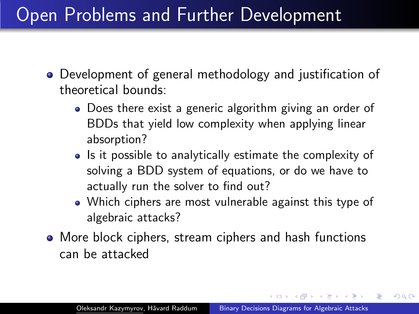# Open Problems and Further Development

- Development of general methodology and justification of theoretical bounds:
	- Does there exist a generic algorithm giving an order of BDDs that yield low complexity when applying linear absorption?
	- Is it possible to analytically estimate the complexity of solving a BDD system of equations, or do we have to actually run the solver to find out?
	- Which ciphers are most vulnerable against this type of algebraic attacks?
- More block ciphers, stream ciphers and hash functions can be attacked

A . . 2 . . 2 .